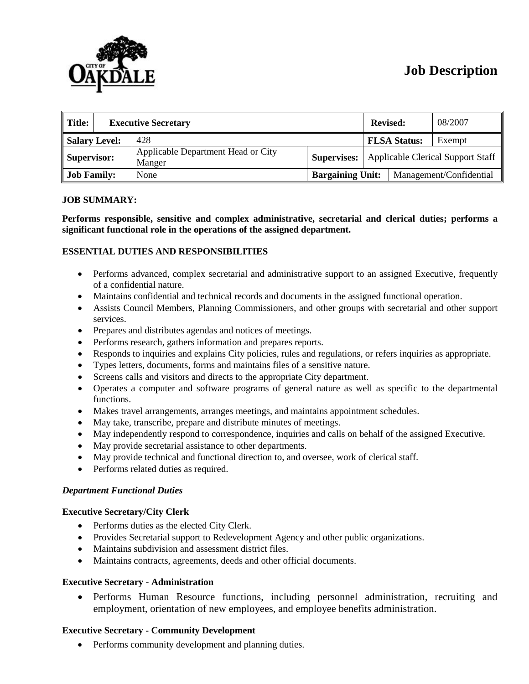# **Job Description**



| Title:               | <b>Executive Secretary</b> |                                              |                         | <b>Revised:</b>                                      |                     | 08/2007 |
|----------------------|----------------------------|----------------------------------------------|-------------------------|------------------------------------------------------|---------------------|---------|
| <b>Salary Level:</b> |                            | 428                                          |                         |                                                      | <b>FLSA Status:</b> | Exempt  |
| Supervisor:          |                            | Applicable Department Head or City<br>Manger |                         | <b>Supervises:</b> Applicable Clerical Support Staff |                     |         |
| <b>Job Family:</b>   |                            | None                                         | <b>Bargaining Unit:</b> | Management/Confidential                              |                     |         |

# **JOB SUMMARY:**

**Performs responsible, sensitive and complex administrative, secretarial and clerical duties; performs a significant functional role in the operations of the assigned department.** 

### **ESSENTIAL DUTIES AND RESPONSIBILITIES**

- Performs advanced, complex secretarial and administrative support to an assigned Executive, frequently of a confidential nature.
- Maintains confidential and technical records and documents in the assigned functional operation.
- Assists Council Members, Planning Commissioners, and other groups with secretarial and other support services.
- Prepares and distributes agendas and notices of meetings.
- Performs research, gathers information and prepares reports.
- Responds to inquiries and explains City policies, rules and regulations, or refers inquiries as appropriate.
- Types letters, documents, forms and maintains files of a sensitive nature.
- Screens calls and visitors and directs to the appropriate City department.
- Operates a computer and software programs of general nature as well as specific to the departmental functions.
- Makes travel arrangements, arranges meetings, and maintains appointment schedules.
- May take, transcribe, prepare and distribute minutes of meetings.
- May independently respond to correspondence, inquiries and calls on behalf of the assigned Executive.
- May provide secretarial assistance to other departments.
- May provide technical and functional direction to, and oversee, work of clerical staff.
- Performs related duties as required.

#### *Department Functional Duties*

### **Executive Secretary/City Clerk**

- Performs duties as the elected City Clerk.
- Provides Secretarial support to Redevelopment Agency and other public organizations.
- Maintains subdivision and assessment district files.
- Maintains contracts, agreements, deeds and other official documents.

### **Executive Secretary - Administration**

• Performs Human Resource functions, including personnel administration, recruiting and employment, orientation of new employees, and employee benefits administration.

### **Executive Secretary - Community Development**

• Performs community development and planning duties.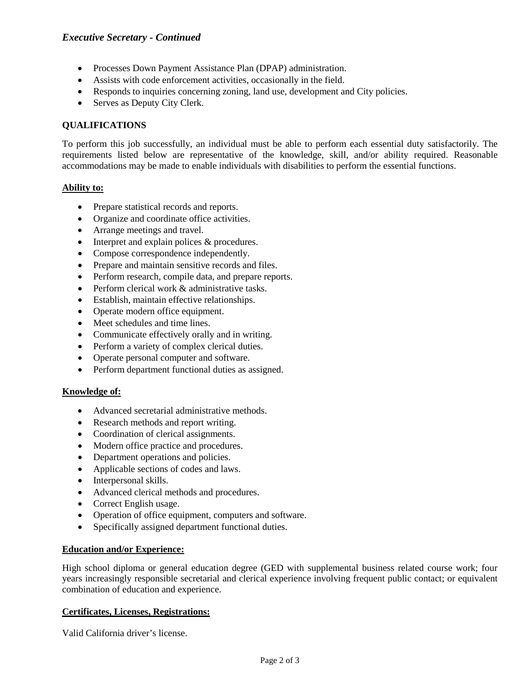# *Executive Secretary - Continued*

- Processes Down Payment Assistance Plan (DPAP) administration.
- Assists with code enforcement activities, occasionally in the field.
- Responds to inquiries concerning zoning, land use, development and City policies.
- Serves as Deputy City Clerk.

# **QUALIFICATIONS**

To perform this job successfully, an individual must be able to perform each essential duty satisfactorily. The requirements listed below are representative of the knowledge, skill, and/or ability required. Reasonable accommodations may be made to enable individuals with disabilities to perform the essential functions.

### **Ability to:**

- Prepare statistical records and reports.
- Organize and coordinate office activities.
- Arrange meetings and travel.
- Interpret and explain polices & procedures.
- Compose correspondence independently.
- Prepare and maintain sensitive records and files.
- Perform research, compile data, and prepare reports.
- Perform clerical work & administrative tasks.
- Establish, maintain effective relationships.
- Operate modern office equipment.
- Meet schedules and time lines.
- Communicate effectively orally and in writing.
- Perform a variety of complex clerical duties.
- Operate personal computer and software.
- Perform department functional duties as assigned.

### **Knowledge of:**

- Advanced secretarial administrative methods.
- Research methods and report writing.
- Coordination of clerical assignments.
- Modern office practice and procedures.
- Department operations and policies.
- Applicable sections of codes and laws.
- Interpersonal skills.
- Advanced clerical methods and procedures.
- Correct English usage.
- Operation of office equipment, computers and software.
- Specifically assigned department functional duties.

### **Education and/or Experience:**

High school diploma or general education degree (GED with supplemental business related course work; four years increasingly responsible secretarial and clerical experience involving frequent public contact; or equivalent combination of education and experience.

### **Certificates, Licenses, Registrations:**

Valid California driver's license.